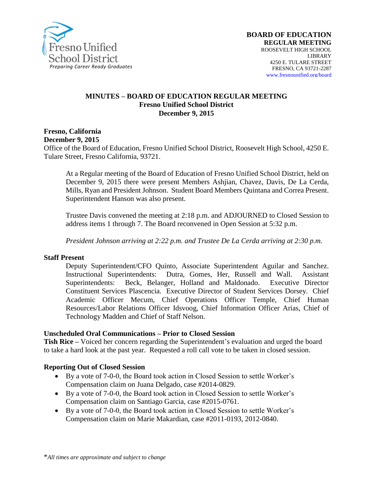

#### **MINUTES – BOARD OF EDUCATION REGULAR MEETING Fresno Unified School District December 9, 2015**

**Fresno, California December 9, 2015**

Office of the Board of Education, Fresno Unified School District, Roosevelt High School, 4250 E. Tulare Street, Fresno California, 93721.

At a Regular meeting of the Board of Education of Fresno Unified School District, held on December 9, 2015 there were present Members Ashjian, Chavez, Davis, De La Cerda, Mills, Ryan and President Johnson. Student Board Members Quintana and Correa Present. Superintendent Hanson was also present.

Trustee Davis convened the meeting at 2:18 p.m. and ADJOURNED to Closed Session to address items 1 through 7. The Board reconvened in Open Session at 5:32 p.m.

*President Johnson arriving at 2:22 p.m. and Trustee De La Cerda arriving at 2:30 p.m.* 

#### **Staff Present**

Deputy Superintendent/CFO Quinto, Associate Superintendent Aguilar and Sanchez. Instructional Superintendents: Dutra, Gomes, Her, Russell and Wall. Assistant Superintendents: Beck, Belanger, Holland and Maldonado. Executive Director Constituent Services Plascencia. Executive Director of Student Services Dorsey. Chief Academic Officer Mecum, Chief Operations Officer Temple, Chief Human Resources/Labor Relations Officer Idsvoog, Chief Information Officer Arias, Chief of Technology Madden and Chief of Staff Nelson.

### **Unscheduled Oral Communications – Prior to Closed Session**

**Tish Rice –** Voiced her concern regarding the Superintendent's evaluation and urged the board to take a hard look at the past year. Requested a roll call vote to be taken in closed session.

### **Reporting Out of Closed Session**

- By a vote of 7-0-0, the Board took action in Closed Session to settle Worker's Compensation claim on Juana Delgado, case #2014-0829.
- By a vote of 7-0-0, the Board took action in Closed Session to settle Worker's Compensation claim on Santiago Garcia, case #2015-0761.
- By a vote of 7-0-0, the Board took action in Closed Session to settle Worker's Compensation claim on Marie Makardian, case #2011-0193, 2012-0840.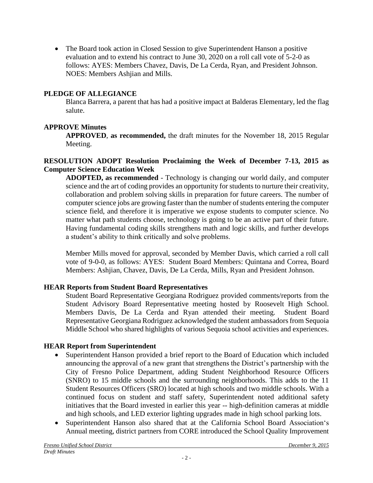The Board took action in Closed Session to give Superintendent Hanson a positive evaluation and to extend his contract to June 30, 2020 on a roll call vote of 5-2-0 as follows: AYES: Members Chavez, Davis, De La Cerda, Ryan, and President Johnson. NOES: Members Ashjian and Mills.

## **PLEDGE OF ALLEGIANCE**

Blanca Barrera, a parent that has had a positive impact at Balderas Elementary, led the flag salute.

# **APPROVE Minutes**

**APPROVED**, **as recommended,** the draft minutes for the November 18, 2015 Regular Meeting.

### **RESOLUTION ADOPT Resolution Proclaiming the Week of December 7-13, 2015 as Computer Science Education Week**

**ADOPTED, as recommended** - Technology is changing our world daily, and computer science and the art of coding provides an opportunity for students to nurture their creativity, collaboration and problem solving skills in preparation for future careers. The number of computer science jobs are growing faster than the number of students entering the computer science field, and therefore it is imperative we expose students to computer science. No matter what path students choose, technology is going to be an active part of their future. Having fundamental coding skills strengthens math and logic skills, and further develops a student's ability to think critically and solve problems.

Member Mills moved for approval, seconded by Member Davis, which carried a roll call vote of 9-0-0, as follows: AYES: Student Board Members: Quintana and Correa, Board Members: Ashjian, Chavez, Davis, De La Cerda, Mills, Ryan and President Johnson.

# **HEAR Reports from Student Board Representatives**

Student Board Representative Georgiana Rodriguez provided comments/reports from the Student Advisory Board Representative meeting hosted by Roosevelt High School. Members Davis, De La Cerda and Ryan attended their meeting. Student Board Representative Georgiana Rodriguez acknowledged the student ambassadors from Sequoia Middle School who shared highlights of various Sequoia school activities and experiences.

# **HEAR Report from Superintendent**

- Superintendent Hanson provided a brief report to the Board of Education which included announcing the approval of a new grant that strengthens the District's partnership with the City of Fresno Police Department, adding Student Neighborhood Resource Officers (SNRO) to 15 middle schools and the surrounding neighborhoods. This adds to the 11 Student Resources Officers (SRO) located at high schools and two middle schools. With a continued focus on student and staff safety, Superintendent noted additional safety initiatives that the Board invested in earlier this year -- high-definition cameras at middle and high schools, and LED exterior lighting upgrades made in high school parking lots.
- Superintendent Hanson also shared that at the California School Board Association's Annual meeting, district partners from CORE introduced the School Quality Improvement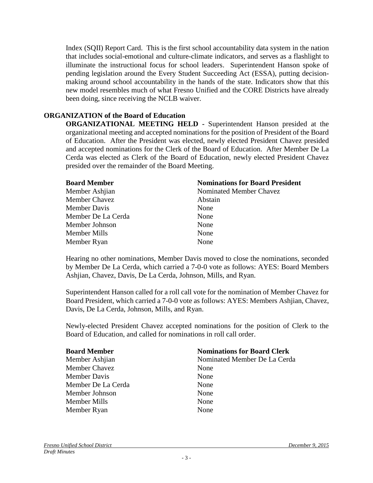Index (SQII) Report Card. This is the first school accountability data system in the nation that includes social-emotional and culture-climate indicators, and serves as a flashlight to illuminate the instructional focus for school leaders. Superintendent Hanson spoke of pending legislation around the Every Student Succeeding Act (ESSA), putting decisionmaking around school accountability in the hands of the state. Indicators show that this new model resembles much of what Fresno Unified and the CORE Districts have already been doing, since receiving the NCLB waiver.

### **ORGANIZATION of the Board of Education**

**ORGANIZATIONAL MEETING HELD -** Superintendent Hanson presided at the organizational meeting and accepted nominations for the position of President of the Board of Education. After the President was elected, newly elected President Chavez presided and accepted nominations for the Clerk of the Board of Education. After Member De La Cerda was elected as Clerk of the Board of Education, newly elected President Chavez presided over the remainder of the Board Meeting.

| <b>Board Member</b>  | <b>Nominations for Board President</b> |
|----------------------|----------------------------------------|
| Member Ashijan       | Nominated Member Chavez                |
| <b>Member Chavez</b> | Abstain                                |
| <b>Member Davis</b>  | None                                   |
| Member De La Cerda   | None                                   |
| Member Johnson       | None                                   |
| Member Mills         | None                                   |
| Member Ryan          | None                                   |

Hearing no other nominations, Member Davis moved to close the nominations, seconded by Member De La Cerda, which carried a 7-0-0 vote as follows: AYES: Board Members Ashjian, Chavez, Davis, De La Cerda, Johnson, Mills, and Ryan.

Superintendent Hanson called for a roll call vote for the nomination of Member Chavez for Board President, which carried a 7-0-0 vote as follows: AYES: Members Ashjian, Chavez, Davis, De La Cerda, Johnson, Mills, and Ryan.

Newly-elected President Chavez accepted nominations for the position of Clerk to the Board of Education, and called for nominations in roll call order.

| <b>Board Member</b> | <b>Nominations for Board Clerk</b> |
|---------------------|------------------------------------|
| Member Ashijan      | Nominated Member De La Cerda       |
| Member Chavez       | None                               |
| <b>Member Davis</b> | None                               |
| Member De La Cerda  | None                               |
| Member Johnson      | None                               |
| <b>Member Mills</b> | None                               |
| Member Ryan         | None                               |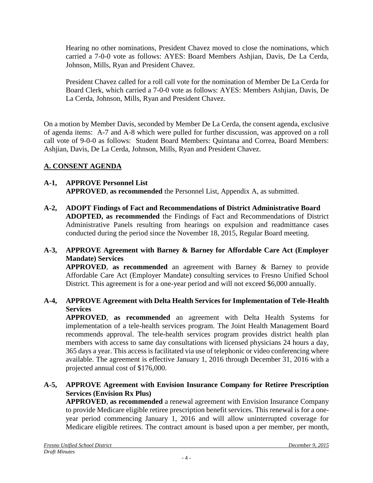Hearing no other nominations, President Chavez moved to close the nominations, which carried a 7-0-0 vote as follows: AYES: Board Members Ashjian, Davis, De La Cerda, Johnson, Mills, Ryan and President Chavez.

President Chavez called for a roll call vote for the nomination of Member De La Cerda for Board Clerk, which carried a 7-0-0 vote as follows: AYES: Members Ashjian, Davis, De La Cerda, Johnson, Mills, Ryan and President Chavez.

On a motion by Member Davis, seconded by Member De La Cerda, the consent agenda, exclusive of agenda items: A-7 and A-8 which were pulled for further discussion, was approved on a roll call vote of 9-0-0 as follows: Student Board Members: Quintana and Correa, Board Members: Ashjian, Davis, De La Cerda, Johnson, Mills, Ryan and President Chavez.

# **A. CONSENT AGENDA**

#### **A-1, APPROVE Personnel List APPROVED**, **as recommended** the Personnel List, Appendix A, as submitted.

**A-2, ADOPT Findings of Fact and Recommendations of District Administrative Board ADOPTED, as recommended** the Findings of Fact and Recommendations of District Administrative Panels resulting from hearings on expulsion and readmittance cases conducted during the period since the November 18, 2015, Regular Board meeting.

### **A-3, APPROVE Agreement with Barney & Barney for Affordable Care Act (Employer Mandate) Services**

**APPROVED**, **as recommended** an agreement with Barney & Barney to provide Affordable Care Act (Employer Mandate) consulting services to Fresno Unified School District. This agreement is for a one-year period and will not exceed \$6,000 annually.

### **A-4, APPROVE Agreement with Delta Health Services for Implementation of Tele-Health Services**

**APPROVED**, **as recommended** an agreement with Delta Health Systems for implementation of a tele-health services program. The Joint Health Management Board recommends approval. The tele-health services program provides district health plan members with access to same day consultations with licensed physicians 24 hours a day, 365 days a year. This access is facilitated via use of telephonic or video conferencing where available. The agreement is effective January 1, 2016 through December 31, 2016 with a projected annual cost of \$176,000.

### **A-5, APPROVE Agreement with Envision Insurance Company for Retiree Prescription Services (Envision Rx Plus)**

**APPROVED**, **as recommended** a renewal agreement with Envision Insurance Company to provide Medicare eligible retiree prescription benefit services. This renewal is for a oneyear period commencing January 1, 2016 and will allow uninterrupted coverage for Medicare eligible retirees. The contract amount is based upon a per member, per month,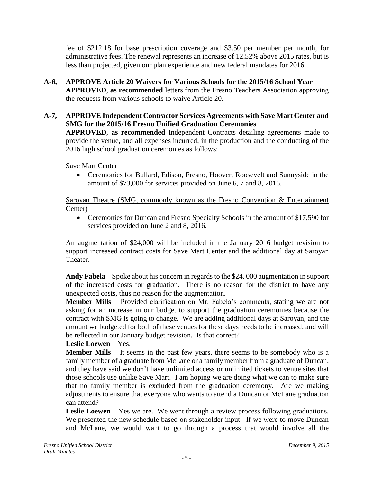fee of \$212.18 for base prescription coverage and \$3.50 per member per month, for administrative fees. The renewal represents an increase of 12.52% above 2015 rates, but is less than projected, given our plan experience and new federal mandates for 2016.

- **A-6, APPROVE Article 20 Waivers for Various Schools for the 2015/16 School Year APPROVED**, **as recommended** letters from the Fresno Teachers Association approving the requests from various schools to waive Article 20.
- **A-7, APPROVE Independent Contractor Services Agreements with Save Mart Center and SMG for the 2015/16 Fresno Unified Graduation Ceremonies APPROVED**, **as recommended** Independent Contracts detailing agreements made to provide the venue, and all expenses incurred, in the production and the conducting of the 2016 high school graduation ceremonies as follows:

Save Mart Center

 Ceremonies for Bullard, Edison, Fresno, Hoover, Roosevelt and Sunnyside in the amount of \$73,000 for services provided on June 6, 7 and 8, 2016.

Saroyan Theatre (SMG, commonly known as the Fresno Convention & Entertainment Center)

• Ceremonies for Duncan and Fresno Specialty Schools in the amount of \$17,590 for services provided on June 2 and 8, 2016.

An augmentation of \$24,000 will be included in the January 2016 budget revision to support increased contract costs for Save Mart Center and the additional day at Saroyan Theater.

**Andy Fabela** – Spoke about his concern in regards to the \$24, 000 augmentation in support of the increased costs for graduation. There is no reason for the district to have any unexpected costs, thus no reason for the augmentation.

**Member Mills** – Provided clarification on Mr. Fabela's comments, stating we are not asking for an increase in our budget to support the graduation ceremonies because the contract with SMG is going to change. We are adding additional days at Saroyan, and the amount we budgeted for both of these venues for these days needs to be increased, and will be reflected in our January budget revision. Is that correct?

# **Leslie Loewen** – Yes.

**Member Mills** – It seems in the past few years, there seems to be somebody who is a family member of a graduate from McLane or a family member from a graduate of Duncan, and they have said we don't have unlimited access or unlimited tickets to venue sites that those schools use unlike Save Mart. I am hoping we are doing what we can to make sure that no family member is excluded from the graduation ceremony. Are we making adjustments to ensure that everyone who wants to attend a Duncan or McLane graduation can attend?

**Leslie Loewen** – Yes we are. We went through a review process following graduations. We presented the new schedule based on stakeholder input. If we were to move Duncan and McLane, we would want to go through a process that would involve all the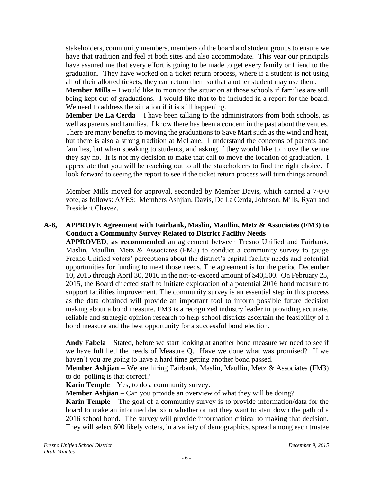stakeholders, community members, members of the board and student groups to ensure we have that tradition and feel at both sites and also accommodate. This year our principals have assured me that every effort is going to be made to get every family or friend to the graduation. They have worked on a ticket return process, where if a student is not using all of their allotted tickets, they can return them so that another student may use them.

**Member Mills** – I would like to monitor the situation at those schools if families are still being kept out of graduations. I would like that to be included in a report for the board. We need to address the situation if it is still happening.

**Member De La Cerda** – I have been talking to the administrators from both schools, as well as parents and families. I know there has been a concern in the past about the venues. There are many benefits to moving the graduations to Save Mart such as the wind and heat, but there is also a strong tradition at McLane. I understand the concerns of parents and families, but when speaking to students, and asking if they would like to move the venue they say no. It is not my decision to make that call to move the location of graduation. I appreciate that you will be reaching out to all the stakeholders to find the right choice. I look forward to seeing the report to see if the ticket return process will turn things around.

Member Mills moved for approval, seconded by Member Davis, which carried a 7-0-0 vote, as follows: AYES: Members Ashjian, Davis, De La Cerda, Johnson, Mills, Ryan and President Chavez.

### **A-8, APPROVE Agreement with Fairbank, Maslin, Maullin, Metz & Associates (FM3) to Conduct a Community Survey Related to District Facility Needs**

**APPROVED**, **as recommended** an agreement between Fresno Unified and Fairbank, Maslin, Maullin, Metz & Associates (FM3) to conduct a community survey to gauge Fresno Unified voters' perceptions about the district's capital facility needs and potential opportunities for funding to meet those needs. The agreement is for the period December 10, 2015 through April 30, 2016 in the not-to-exceed amount of \$40,500. On February 25, 2015, the Board directed staff to initiate exploration of a potential 2016 bond measure to support facilities improvement. The community survey is an essential step in this process as the data obtained will provide an important tool to inform possible future decision making about a bond measure. FM3 is a recognized industry leader in providing accurate, reliable and strategic opinion research to help school districts ascertain the feasibility of a bond measure and the best opportunity for a successful bond election.

**Andy Fabela** – Stated, before we start looking at another bond measure we need to see if we have fulfilled the needs of Measure Q. Have we done what was promised? If we haven't you are going to have a hard time getting another bond passed.

**Member Ashjian** – We are hiring Fairbank, Maslin, Maullin, Metz & Associates (FM3) to do polling is that correct?

**Karin Temple** – Yes, to do a community survey.

**Member Ashjian** – Can you provide an overview of what they will be doing?

**Karin Temple** – The goal of a community survey is to provide information/data for the board to make an informed decision whether or not they want to start down the path of a 2016 school bond. The survey will provide information critical to making that decision. They will select 600 likely voters, in a variety of demographics, spread among each trustee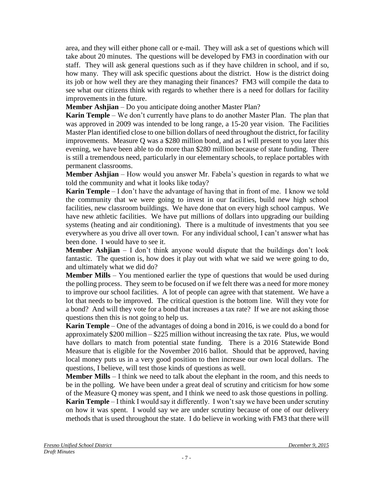area, and they will either phone call or e-mail. They will ask a set of questions which will take about 20 minutes. The questions will be developed by FM3 in coordination with our staff. They will ask general questions such as if they have children in school, and if so, how many. They will ask specific questions about the district. How is the district doing its job or how well they are they managing their finances? FM3 will compile the data to see what our citizens think with regards to whether there is a need for dollars for facility improvements in the future.

**Member Ashjian** – Do you anticipate doing another Master Plan?

**Karin Temple** – We don't currently have plans to do another Master Plan. The plan that was approved in 2009 was intended to be long range, a 15-20 year vision. The Facilities Master Plan identified close to one billion dollars of need throughout the district, for facility improvements. Measure Q was a \$280 million bond, and as I will present to you later this evening, we have been able to do more than \$280 million because of state funding. There is still a tremendous need, particularly in our elementary schools, to replace portables with permanent classrooms.

**Member Ashjian** – How would you answer Mr. Fabela's question in regards to what we told the community and what it looks like today?

**Karin Temple** – I don't have the advantage of having that in front of me. I know we told the community that we were going to invest in our facilities, build new high school facilities, new classroom buildings. We have done that on every high school campus. We have new athletic facilities. We have put millions of dollars into upgrading our building systems (heating and air conditioning). There is a multitude of investments that you see everywhere as you drive all over town. For any individual school, I can't answer what has been done. I would have to see it.

**Member Ashjian** – I don't think anyone would dispute that the buildings don't look fantastic. The question is, how does it play out with what we said we were going to do, and ultimately what we did do?

**Member Mills** – You mentioned earlier the type of questions that would be used during the polling process. They seem to be focused on if we felt there was a need for more money to improve our school facilities. A lot of people can agree with that statement. We have a lot that needs to be improved. The critical question is the bottom line. Will they vote for a bond? And will they vote for a bond that increases a tax rate? If we are not asking those questions then this is not going to help us.

**Karin Temple** – One of the advantages of doing a bond in 2016, is we could do a bond for approximately \$200 million – \$225 million without increasing the tax rate. Plus, we would have dollars to match from potential state funding. There is a 2016 Statewide Bond Measure that is eligible for the November 2016 ballot. Should that be approved, having local money puts us in a very good position to then increase our own local dollars. The questions, I believe, will test those kinds of questions as well.

**Member Mills** – I think we need to talk about the elephant in the room, and this needs to be in the polling. We have been under a great deal of scrutiny and criticism for how some of the Measure Q money was spent, and I think we need to ask those questions in polling. **Karin Temple** – I think I would say it differently. I won't say we have been under scrutiny on how it was spent. I would say we are under scrutiny because of one of our delivery methods that is used throughout the state. I do believe in working with FM3 that there will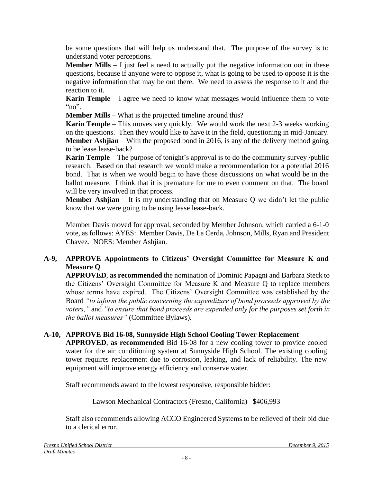be some questions that will help us understand that. The purpose of the survey is to understand voter perceptions.

**Member Mills** – I just feel a need to actually put the negative information out in these questions, because if anyone were to oppose it, what is going to be used to oppose it is the negative information that may be out there. We need to assess the response to it and the reaction to it.

**Karin Temple** – I agree we need to know what messages would influence them to vote " $no$ ".

**Member Mills** – What is the projected timeline around this?

**Karin Temple** – This moves very quickly. We would work the next 2-3 weeks working on the questions. Then they would like to have it in the field, questioning in mid-January. **Member Ashjian** – With the proposed bond in 2016, is any of the delivery method going to be lease lease-back?

**Karin Temple** – The purpose of tonight's approval is to do the community survey /public research. Based on that research we would make a recommendation for a potential 2016 bond. That is when we would begin to have those discussions on what would be in the ballot measure. I think that it is premature for me to even comment on that. The board will be very involved in that process.

**Member Ashjian** – It is my understanding that on Measure Q we didn't let the public know that we were going to be using lease lease-back.

Member Davis moved for approval, seconded by Member Johnson, which carried a 6-1-0 vote, as follows: AYES: Member Davis, De La Cerda, Johnson, Mills, Ryan and President Chavez. NOES: Member Ashjian.

## **A-9, APPROVE Appointments to Citizens' Oversight Committee for Measure K and Measure Q**

**APPROVED**, **as recommended** the nomination of Dominic Papagni and Barbara Steck to the Citizens' Oversight Committee for Measure K and Measure Q to replace members whose terms have expired. The Citizens' Oversight Committee was established by the Board *"to inform the public concerning the expenditure of bond proceeds approved by the voters,"* and *"to ensure that bond proceeds are expended only for the purposes set forth in the ballot measures"* (Committee Bylaws)*.*

## **A-10, APPROVE Bid 16-08, Sunnyside High School Cooling Tower Replacement**

**APPROVED**, **as recommended** Bid 16-08 for a new cooling tower to provide cooled water for the air conditioning system at Sunnyside High School. The existing cooling tower requires replacement due to corrosion, leaking, and lack of reliability. The new equipment will improve energy efficiency and conserve water.

Staff recommends award to the lowest responsive, responsible bidder:

Lawson Mechanical Contractors (Fresno, California) \$406,993

Staff also recommends allowing ACCO Engineered Systems to be relieved of their bid due to a clerical error.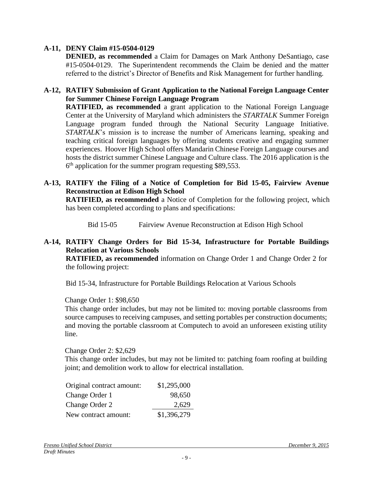### **A-11, DENY Claim #15-0504-0129**

**DENIED, as recommended** a Claim for Damages on Mark Anthony DeSantiago, case #15-0504-0129. The Superintendent recommends the Claim be denied and the matter referred to the district's Director of Benefits and Risk Management for further handling.

### **A-12, RATIFY Submission of Grant Application to the National Foreign Language Center for Summer Chinese Foreign Language Program**

**RATIFIED, as recommended** a grant application to the National Foreign Language Center at the University of Maryland which administers the *STARTALK* Summer Foreign Language program funded through the National Security Language Initiative. *STARTALK*'s mission is to increase the number of Americans learning, speaking and teaching critical foreign languages by offering students creative and engaging summer experiences. Hoover High School offers Mandarin Chinese Foreign Language courses and hosts the district summer Chinese Language and Culture class. The 2016 application is the  $6<sup>th</sup>$  application for the summer program requesting \$89,553.

### **A-13, RATIFY the Filing of a Notice of Completion for Bid 15-05, Fairview Avenue Reconstruction at Edison High School**

**RATIFIED, as recommended** a Notice of Completion for the following project, which has been completed according to plans and specifications:

Bid 15-05 Fairview Avenue Reconstruction at Edison High School

### **A-14, RATIFY Change Orders for Bid 15-34, Infrastructure for Portable Buildings Relocation at Various Schools**

**RATIFIED, as recommended** information on Change Order 1 and Change Order 2 for the following project:

Bid 15-34, Infrastructure for Portable Buildings Relocation at Various Schools

### Change Order 1: \$98,650

This change order includes, but may not be limited to: moving portable classrooms from source campuses to receiving campuses, and setting portables per construction documents; and moving the portable classroom at Computech to avoid an unforeseen existing utility line.

#### Change Order 2: \$2,629

This change order includes, but may not be limited to: patching foam roofing at building joint; and demolition work to allow for electrical installation.

| Original contract amount: | \$1,295,000 |
|---------------------------|-------------|
| Change Order 1            | 98,650      |
| Change Order 2            | 2,629       |
| New contract amount:      | \$1,396,279 |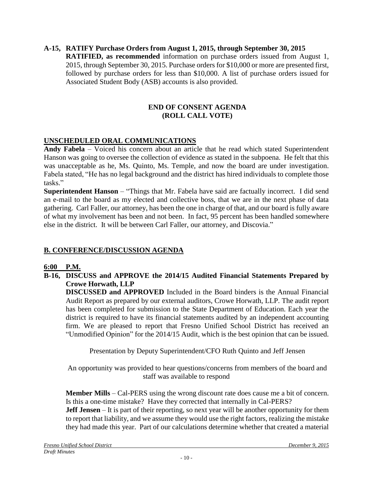### **A-15, RATIFY Purchase Orders from August 1, 2015, through September 30, 2015 RATIFIED, as recommended** information on purchase orders issued from August 1, 2015, through September 30, 2015. Purchase orders for \$10,000 or more are presented first, followed by purchase orders for less than \$10,000. A list of purchase orders issued for Associated Student Body (ASB) accounts is also provided.

## **END OF CONSENT AGENDA (ROLL CALL VOTE)**

# **UNSCHEDULED ORAL COMMUNICATIONS**

**Andy Fabela** – Voiced his concern about an article that he read which stated Superintendent Hanson was going to oversee the collection of evidence as stated in the subpoena. He felt that this was unacceptable as he, Ms. Quinto, Ms. Temple, and now the board are under investigation. Fabela stated, "He has no legal background and the district has hired individuals to complete those tasks."

**Superintendent Hanson** – "Things that Mr. Fabela have said are factually incorrect. I did send an e-mail to the board as my elected and collective boss, that we are in the next phase of data gathering. Carl Faller, our attorney, has been the one in charge of that, and our board is fully aware of what my involvement has been and not been. In fact, 95 percent has been handled somewhere else in the district. It will be between Carl Faller, our attorney, and Discovia."

# **B. CONFERENCE/DISCUSSION AGENDA**

## **6:00 P.M.**

### **B-16, DISCUSS and APPROVE the 2014/15 Audited Financial Statements Prepared by Crowe Horwath, LLP**

**DISCUSSED and APPROVED** Included in the Board binders is the Annual Financial Audit Report as prepared by our external auditors, Crowe Horwath, LLP. The audit report has been completed for submission to the State Department of Education. Each year the district is required to have its financial statements audited by an independent accounting firm. We are pleased to report that Fresno Unified School District has received an "Unmodified Opinion" for the 2014/15 Audit, which is the best opinion that can be issued.

Presentation by Deputy Superintendent/CFO Ruth Quinto and Jeff Jensen

An opportunity was provided to hear questions/concerns from members of the board and staff was available to respond

**Member Mills** – Cal-PERS using the wrong discount rate does cause me a bit of concern. Is this a one-time mistake? Have they corrected that internally in Cal-PERS?

**Jeff Jensen** – It is part of their reporting, so next year will be another opportunity for them to report that liability, and we assume they would use the right factors, realizing the mistake they had made this year. Part of our calculations determine whether that created a material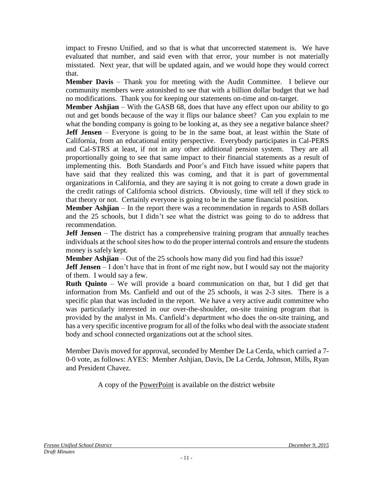impact to Fresno Unified, and so that is what that uncorrected statement is. We have evaluated that number, and said even with that error, your number is not materially misstated. Next year, that will be updated again, and we would hope they would correct that.

**Member Davis** – Thank you for meeting with the Audit Committee. I believe our community members were astonished to see that with a billion dollar budget that we had no modifications. Thank you for keeping our statements on-time and on-target.

**Member Ashjian** – With the GASB 68, does that have any effect upon our ability to go out and get bonds because of the way it flips our balance sheet? Can you explain to me what the bonding company is going to be looking at, as they see a negative balance sheet? **Jeff Jensen** – Everyone is going to be in the same boat, at least within the State of California, from an educational entity perspective. Everybody participates in Cal-PERS and Cal-STRS at least, if not in any other additional pension system. They are all proportionally going to see that same impact to their financial statements as a result of implementing this. Both Standards and Poor's and Fitch have issued white papers that have said that they realized this was coming, and that it is part of governmental organizations in California, and they are saying it is not going to create a down grade in the credit ratings of California school districts. Obviously, time will tell if they stick to that theory or not. Certainly everyone is going to be in the same financial position.

**Member Ashjian** – In the report there was a recommendation in regards to ASB dollars and the 25 schools, but I didn't see what the district was going to do to address that recommendation.

**Jeff Jensen** – The district has a comprehensive training program that annually teaches individuals at the school sites how to do the proper internal controls and ensure the students money is safely kept.

**Member Ashjian** – Out of the 25 schools how many did you find had this issue?

**Jeff Jensen** – I don't have that in front of me right now, but I would say not the majority of them. I would say a few.

**Ruth Quinto** – We will provide a board communication on that, but I did get that information from Ms. Canfield and out of the 25 schools, it was 2-3 sites. There is a specific plan that was included in the report. We have a very active audit committee who was particularly interested in our over-the-shoulder, on-site training program that is provided by the analyst in Ms. Canfield's department who does the on-site training, and has a very specific incentive program for all of the folks who deal with the associate student body and school connected organizations out at the school sites.

Member Davis moved for approval, seconded by Member De La Cerda, which carried a 7- 0-0 vote, as follows: AYES: Member Ashjian, Davis, De La Cerda, Johnson, Mills, Ryan and President Chavez.

A copy of the [PowerPoint](file:///C:/Users/lmmolan/AppData/Local/Desktop/BOARD%20DOCUMENTS/Presentations%20for%20Website/B20131211-Board-Presentation-B-12.pdf) is available on the district website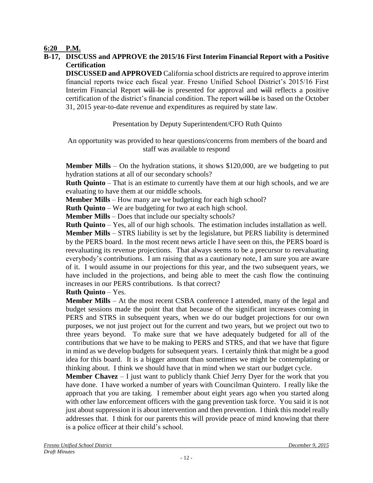## **6:20 P.M.**

## **B-17, DISCUSS and APPROVE the 2015/16 First Interim Financial Report with a Positive Certification**

**DISCUSSED and APPROVED** California school districts are required to approve interim financial reports twice each fiscal year. Fresno Unified School District's 2015/16 First Interim Financial Report will be is presented for approval and will reflects a positive certification of the district's financial condition. The report will be is based on the October 31, 2015 year-to-date revenue and expenditures as required by state law.

Presentation by Deputy Superintendent/CFO Ruth Quinto

An opportunity was provided to hear questions/concerns from members of the board and staff was available to respond

**Member Mills** – On the hydration stations, it shows \$120,000, are we budgeting to put hydration stations at all of our secondary schools?

**Ruth Quinto** – That is an estimate to currently have them at our high schools, and we are evaluating to have them at our middle schools.

**Member Mills** – How many are we budgeting for each high school?

**Ruth Quinto** – We are budgeting for two at each high school.

**Member Mills** – Does that include our specialty schools?

**Ruth Quinto** – Yes, all of our high schools. The estimation includes installation as well. **Member Mills** – STRS liability is set by the legislature, but PERS liability is determined by the PERS board. In the most recent news article I have seen on this, the PERS board is reevaluating its revenue projections. That always seems to be a precursor to reevaluating everybody's contributions. I am raising that as a cautionary note, I am sure you are aware of it. I would assume in our projections for this year, and the two subsequent years, we have included in the projections, and being able to meet the cash flow the continuing increases in our PERS contributions. Is that correct?

## **Ruth Quinto** – Yes.

**Member Mills** – At the most recent CSBA conference I attended, many of the legal and budget sessions made the point that that because of the significant increases coming in PERS and STRS in subsequent years, when we do our budget projections for our own purposes, we not just project out for the current and two years, but we project out two to three years beyond. To make sure that we have adequately budgeted for all of the contributions that we have to be making to PERS and STRS, and that we have that figure in mind as we develop budgets for subsequent years. I certainly think that might be a good idea for this board. It is a bigger amount than sometimes we might be contemplating or thinking about. I think we should have that in mind when we start our budget cycle.

**Member Chavez** – I just want to publicly thank Chief Jerry Dyer for the work that you have done. I have worked a number of years with Councilman Quintero. I really like the approach that you are taking. I remember about eight years ago when you started along with other law enforcement officers with the gang prevention task force. You said it is not just about suppression it is about intervention and then prevention. I think this model really addresses that. I think for our parents this will provide peace of mind knowing that there is a police officer at their child's school.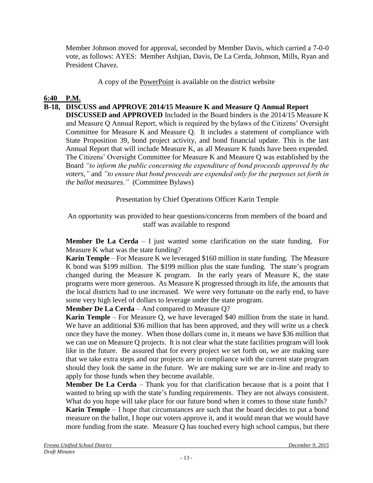Member Johnson moved for approval, seconded by Member Davis, which carried a 7-0-0 vote, as follows: AYES: Member Ashjian, Davis, De La Cerda, Johnson, Mills, Ryan and President Chavez.

A copy of the [PowerPoint](file:///C:/Users/lmmolan/AppData/Local/Desktop/BOARD%20DOCUMENTS/Presentations%20for%20Website/B20131211-Board-Presentation-B-12.pdf) is available on the district website

## **6:40 P.M.**

## **B-18, DISCUSS and APPROVE 2014/15 Measure K and Measure Q Annual Report**

**DISCUSSED and APPROVED** Included in the Board binders is the 2014/15 Measure K and Measure Q Annual Report, which is required by the bylaws of the Citizens' Oversight Committee for Measure K and Measure Q. It includes a statement of compliance with State Proposition 39, bond project activity, and bond financial update. This is the last Annual Report that will include Measure K, as all Measure K funds have been expended. The Citizens' Oversight Committee for Measure K and Measure Q was established by the Board *"to inform the public concerning the expenditure of bond proceeds approved by the voters,"* and *"to ensure that bond proceeds are expended only for the purposes set forth in the ballot measures."* (Committee Bylaws)

Presentation by Chief Operations Officer Karin Temple

An opportunity was provided to hear questions/concerns from members of the board and staff was available to respond

**Member De La Cerda** – I just wanted some clarification on the state funding. For Measure K what was the state funding?

**Karin Temple** – For Measure K we leveraged \$160 million in state funding. The Measure K bond was \$199 million. The \$199 million plus the state funding. The state's program changed during the Measure K program. In the early years of Measure K, the state programs were more generous. As Measure K progressed through its life, the amounts that the local districts had to use increased. We were very fortunate on the early end, to have some very high level of dollars to leverage under the state program.

**Member De La Cerda** – And compared to Measure Q?

**Karin Temple** – For Measure Q, we have leveraged \$40 million from the state in hand. We have an additional \$36 million that has been approved, and they will write us a check once they have the money. When those dollars come in, it means we have \$36 million that we can use on Measure Q projects. It is not clear what the state facilities program will look like in the future. Be assured that for every project we set forth on, we are making sure that we take extra steps and our projects are in compliance with the current state program should they look the same in the future. We are making sure we are in-line and ready to apply for those funds when they become available.

**Member De La Cerda** – Thank you for that clarification because that is a point that I wanted to bring up with the state's funding requirements. They are not always consistent. What do you hope will take place for our future bond when it comes to those state funds? **Karin Temple** – I hope that circumstances are such that the board decides to put a bond measure on the ballot, I hope our voters approve it, and it would mean that we would have more funding from the state. Measure Q has touched every high school campus, but there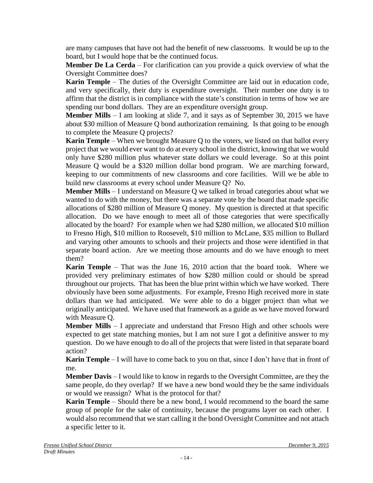are many campuses that have not had the benefit of new classrooms. It would be up to the board, but I would hope that be the continued focus.

**Member De La Cerda** – For clarification can you provide a quick overview of what the Oversight Committee does?

**Karin Temple** – The duties of the Oversight Committee are laid out in education code, and very specifically, their duty is expenditure oversight. Their number one duty is to affirm that the district is in compliance with the state's constitution in terms of how we are spending our bond dollars. They are an expenditure oversight group.

**Member Mills** – I am looking at slide 7, and it says as of September 30, 2015 we have about \$30 million of Measure Q bond authorization remaining. Is that going to be enough to complete the Measure Q projects?

**Karin Temple** – When we brought Measure Q to the voters, we listed on that ballot every project that we would ever want to do at every school in the district, knowing that we would only have \$280 million plus whatever state dollars we could leverage. So at this point Measure Q would be a \$320 million dollar bond program. We are marching forward, keeping to our commitments of new classrooms and core facilities. Will we be able to build new classrooms at every school under Measure Q? No.

**Member Mills** – I understand on Measure Q we talked in broad categories about what we wanted to do with the money, but there was a separate vote by the board that made specific allocations of \$280 million of Measure Q money. My question is directed at that specific allocation. Do we have enough to meet all of those categories that were specifically allocated by the board? For example when we had \$280 million, we allocated \$10 million to Fresno High, \$10 million to Roosevelt, \$10 million to McLane, \$35 million to Bullard and varying other amounts to schools and their projects and those were identified in that separate board action. Are we meeting those amounts and do we have enough to meet them?

**Karin Temple** – That was the June 16, 2010 action that the board took. Where we provided very preliminary estimates of how \$280 million could or should be spread throughout our projects. That has been the blue print within which we have worked. There obviously have been some adjustments. For example, Fresno High received more in state dollars than we had anticipated. We were able to do a bigger project than what we originally anticipated. We have used that framework as a guide as we have moved forward with Measure Q.

**Member Mills** – I appreciate and understand that Fresno High and other schools were expected to get state matching monies, but I am not sure I got a definitive answer to my question. Do we have enough to do all of the projects that were listed in that separate board action?

**Karin Temple** – I will have to come back to you on that, since I don't have that in front of me.

**Member Davis** – I would like to know in regards to the Oversight Committee, are they the same people, do they overlap? If we have a new bond would they be the same individuals or would we reassign? What is the protocol for that?

**Karin Temple** – Should there be a new bond, I would recommend to the board the same group of people for the sake of continuity, because the programs layer on each other. I would also recommend that we start calling it the bond Oversight Committee and not attach a specific letter to it.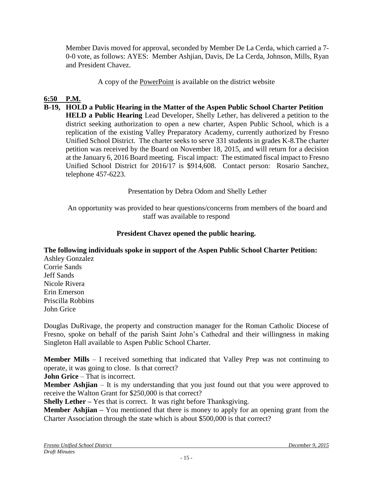Member Davis moved for approval, seconded by Member De La Cerda, which carried a 7- 0-0 vote, as follows: AYES: Member Ashjian, Davis, De La Cerda, Johnson, Mills, Ryan and President Chavez.

A copy of the [PowerPoint](file:///C:/Users/lmmolan/AppData/Local/Desktop/BOARD%20DOCUMENTS/Presentations%20for%20Website/B20131211-Board-Presentation-B-12.pdf) is available on the district website

# **6:50 P.M.**

**B-19, HOLD a Public Hearing in the Matter of the Aspen Public School Charter Petition HELD a Public Hearing** Lead Developer, Shelly Lether, has delivered a petition to the district seeking authorization to open a new charter, Aspen Public School, which is a replication of the existing Valley Preparatory Academy, currently authorized by Fresno Unified School District. The charter seeks to serve 331 students in grades K-8.The charter petition was received by the Board on November 18, 2015, and will return for a decision at the January 6, 2016 Board meeting. Fiscal impact: The estimated fiscal impact to Fresno Unified School District for 2016/17 is \$914,608. Contact person: Rosario Sanchez, telephone 457-6223.

Presentation by Debra Odom and Shelly Lether

An opportunity was provided to hear questions/concerns from members of the board and staff was available to respond

# **President Chavez opened the public hearing.**

**The following individuals spoke in support of the Aspen Public School Charter Petition:**

Ashley Gonzalez Corrie Sands Jeff Sands Nicole Rivera Erin Emerson Priscilla Robbins John Grice

Douglas DuRivage, the property and construction manager for the Roman Catholic Diocese of Fresno, spoke on behalf of the parish Saint John's Cathedral and their willingness in making Singleton Hall available to Aspen Public School Charter.

**Member Mills** – I received something that indicated that Valley Prep was not continuing to operate, it was going to close. Is that correct?

**John Grice** – That is incorrect.

**Member Ashjian** – It is my understanding that you just found out that you were approved to receive the Walton Grant for \$250,000 is that correct?

**Shelly Lether –** Yes that is correct. It was right before Thanksgiving.

**Member Ashjian** – You mentioned that there is money to apply for an opening grant from the Charter Association through the state which is about \$500,000 is that correct?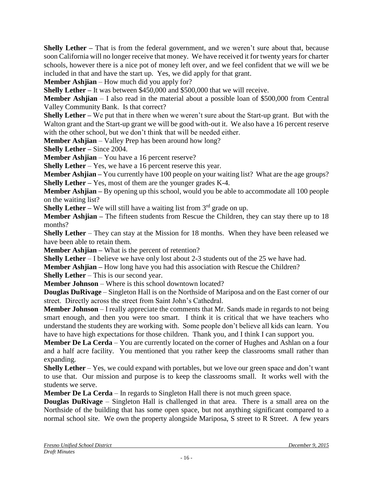**Shelly Lether** – That is from the federal government, and we weren't sure about that, because soon California will no longer receive that money. We have received it for twenty years for charter schools, however there is a nice pot of money left over, and we feel confident that we will we be included in that and have the start up. Yes, we did apply for that grant.

**Member Ashjian** – How much did you apply for?

**Shelly Lether – It was between \$450,000 and \$500,000 that we will receive.** 

**Member Ashjian** – I also read in the material about a possible loan of \$500,000 from Central Valley Community Bank. Is that correct?

**Shelly Lether –** We put that in there when we weren't sure about the Start-up grant. But with the Walton grant and the Start-up grant we will be good with-out it. We also have a 16 percent reserve with the other school, but we don't think that will be needed either.

**Member Ashjian** – Valley Prep has been around how long?

**Shelly Lether –** Since 2004.

**Member Ashjian** – You have a 16 percent reserve?

**Shelly Lether** – Yes, we have a 16 percent reserve this year.

**Member Ashjian** – You currently have 100 people on your waiting list? What are the age groups? **Shelly Lether** – Yes, most of them are the younger grades K-4.

**Member Ashjian** – By opening up this school, would you be able to accommodate all 100 people on the waiting list?

**Shelly Lether – We will still have a waiting list from**  $3<sup>rd</sup>$  **grade on up.** 

**Member Ashijan** – The fifteen students from Rescue the Children, they can stay there up to 18 months?

**Shelly Lether** – They can stay at the Mission for 18 months. When they have been released we have been able to retain them.

**Member Ashjian** – What is the percent of retention?

**Shelly Lether** – I believe we have only lost about 2-3 students out of the 25 we have had.

**Member Ashjian** – How long have you had this association with Rescue the Children?

**Shelly Lether** – This is our second year.

**Member Johnson** – Where is this school downtown located?

**Douglas DuRivage** – Singleton Hall is on the Northside of Mariposa and on the East corner of our street. Directly across the street from Saint John's Cathedral.

**Member Johnson** – I really appreciate the comments that Mr. Sands made in regards to not being smart enough, and then you were too smart. I think it is critical that we have teachers who understand the students they are working with. Some people don't believe all kids can learn. You have to have high expectations for those children. Thank you, and I think I can support you.

**Member De La Cerda** – You are currently located on the corner of Hughes and Ashlan on a four and a half acre facility. You mentioned that you rather keep the classrooms small rather than expanding.

**Shelly Lether** – Yes, we could expand with portables, but we love our green space and don't want to use that. Our mission and purpose is to keep the classrooms small. It works well with the students we serve.

**Member De La Cerda** – In regards to Singleton Hall there is not much green space.

**Douglas DuRivage** – Singleton Hall is challenged in that area. There is a small area on the Northside of the building that has some open space, but not anything significant compared to a normal school site. We own the property alongside Mariposa, S street to R Street. A few years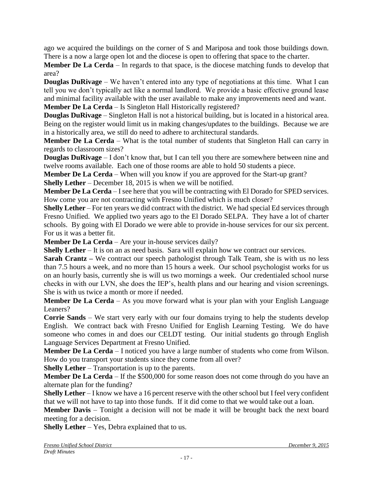ago we acquired the buildings on the corner of S and Mariposa and took those buildings down. There is a now a large open lot and the diocese is open to offering that space to the charter.

**Member De La Cerda** – In regards to that space, is the diocese matching funds to develop that area?

**Douglas DuRivage** – We haven't entered into any type of negotiations at this time. What I can tell you we don't typically act like a normal landlord. We provide a basic effective ground lease and minimal facility available with the user available to make any improvements need and want. **Member De La Cerda** – Is Singleton Hall Historically registered?

**Douglas DuRivage** – Singleton Hall is not a historical building, but is located in a historical area. Being on the register would limit us in making changes/updates to the buildings. Because we are in a historically area, we still do need to adhere to architectural standards.

**Member De La Cerda** – What is the total number of students that Singleton Hall can carry in regards to classroom sizes?

**Douglas DuRivage** – I don't know that, but I can tell you there are somewhere between nine and twelve rooms available. Each one of those rooms are able to hold 50 students a piece.

**Member De La Cerda** – When will you know if you are approved for the Start-up grant?

**Shelly Lether** – December 18, 2015 is when we will be notified.

**Member De La Cerda** – I see here that you will be contracting with El Dorado for SPED services. How come you are not contracting with Fresno Unified which is much closer?

**Shelly Lether** – For ten years we did contract with the district. We had special Ed services through Fresno Unified. We applied two years ago to the El Dorado SELPA. They have a lot of charter schools. By going with El Dorado we were able to provide in-house services for our six percent. For us it was a better fit.

**Member De La Cerda** – Are your in-house services daily?

**Shelly Lether** – It is on an as need basis. Sara will explain how we contract our services.

**Sarah Crantz –** We contract our speech pathologist through Talk Team, she is with us no less than 7.5 hours a week, and no more than 15 hours a week. Our school psychologist works for us on an hourly basis, currently she is will us two mornings a week. Our credentialed school nurse checks in with our LVN, she does the IEP's, health plans and our hearing and vision screenings. She is with us twice a month or more if needed.

**Member De La Cerda** – As you move forward what is your plan with your English Language Leaners?

**Corrie Sands** – We start very early with our four domains trying to help the students develop English. We contract back with Fresno Unified for English Learning Testing. We do have someone who comes in and does our CELDT testing. Our initial students go through English Language Services Department at Fresno Unified.

**Member De La Cerda** – I noticed you have a large number of students who come from Wilson. How do you transport your students since they come from all over?

**Shelly Lether** – Transportation is up to the parents.

**Member De La Cerda** – If the \$500,000 for some reason does not come through do you have an alternate plan for the funding?

**Shelly Lether** – I know we have a 16 percent reserve with the other school but I feel very confident that we will not have to tap into those funds. If it did come to that we would take out a loan.

**Member Davis** – Tonight a decision will not be made it will be brought back the next board meeting for a decision.

**Shelly Lether** – Yes, Debra explained that to us.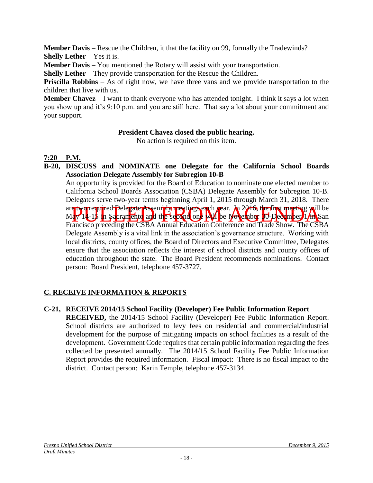**Member Davis** – Rescue the Children, it that the facility on 99, formally the Tradewinds? **Shelly Lether** – Yes it is.

**Member Davis** – You mentioned the Rotary will assist with your transportation.

**Shelly Lether** – They provide transportation for the Rescue the Children.

**Priscilla Robbins** – As of right now, we have three vans and we provide transportation to the children that live with us.

**Member Chavez** – I want to thank everyone who has attended tonight. I think it says a lot when you show up and it's 9:10 p.m. and you are still here. That say a lot about your commitment and your support.

## **President Chavez closed the public hearing.**

No action is required on this item.

# **7:20 P.M.**

**B-20, DISCUSS and NOMINATE one Delegate for the California School Boards Association Delegate Assembly for Subregion 10-B**

e two required Delegate Assembly meetings each year. In 2016 the first meeting will be a vertical on the Second on the November 10 December 17 m San<br>Pulled from a cran entre and the second on the November 10 December 17 m An opportunity is provided for the Board of Education to nominate one elected member to California School Boards Association (CSBA) Delegate Assembly for Subregion 10-B. Delegates serve two-year terms beginning April 1, 2015 through March 31, 2018. There are two required Delegate Assembly meetings each year. In 2016, the first meeting will be May 14-15 in Sacramento and the second one will be November 30-December 1/m San Francisco preceding the CSBA Annual Education Conference and Trade Show. The CSBA Delegate Assembly is a vital link in the association's governance structure. Working with local districts, county offices, the Board of Directors and Executive Committee, Delegates ensure that the association reflects the interest of school districts and county offices of education throughout the state. The Board President recommends nominations. Contact person: Board President, telephone 457-3727.

# **C. RECEIVE INFORMATION & REPORTS**

**C-21, RECEIVE 2014/15 School Facility (Developer) Fee Public Information Report**

**RECEIVED,** the 2014/15 School Facility (Developer) Fee Public Information Report. School districts are authorized to levy fees on residential and commercial/industrial development for the purpose of mitigating impacts on school facilities as a result of the development. Government Code requires that certain public information regarding the fees collected be presented annually. The 2014/15 School Facility Fee Public Information Report provides the required information. Fiscal impact: There is no fiscal impact to the district. Contact person: Karin Temple, telephone 457-3134.